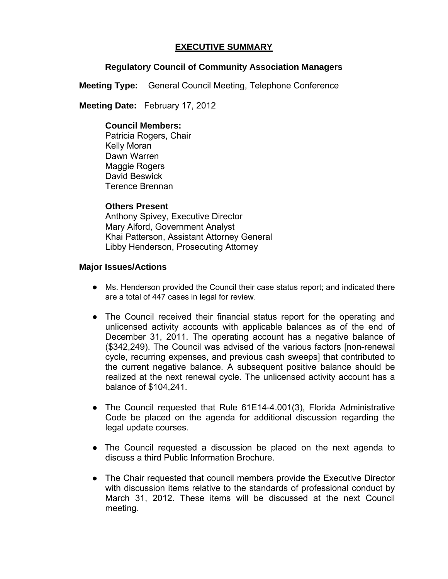# **EXECUTIVE SUMMARY**

# **Regulatory Council of Community Association Managers**

**Meeting Type:** General Council Meeting, Telephone Conference

 **Meeting Date:** February 17, 2012

#### **Council Members:**

Patricia Rogers, Chair Kelly Moran Dawn Warren Maggie Rogers David Beswick Terence Brennan

## **Others Present**

Anthony Spivey, Executive Director Mary Alford, Government Analyst Khai Patterson, Assistant Attorney General Libby Henderson, Prosecuting Attorney

## **Major Issues/Actions**

- Ms. Henderson provided the Council their case status report; and indicated there are a total of 447 cases in legal for review.
- The Council received their financial status report for the operating and unlicensed activity accounts with applicable balances as of the end of December 31, 2011. The operating account has a negative balance of (\$342,249). The Council was advised of the various factors [non-renewal cycle, recurring expenses, and previous cash sweeps] that contributed to the current negative balance. A subsequent positive balance should be realized at the next renewal cycle. The unlicensed activity account has a balance of \$104,241.
- The Council requested that Rule 61E14-4.001(3), Florida Administrative Code be placed on the agenda for additional discussion regarding the legal update courses.
- The Council requested a discussion be placed on the next agenda to discuss a third Public Information Brochure.
- The Chair requested that council members provide the Executive Director with discussion items relative to the standards of professional conduct by March 31, 2012. These items will be discussed at the next Council meeting.